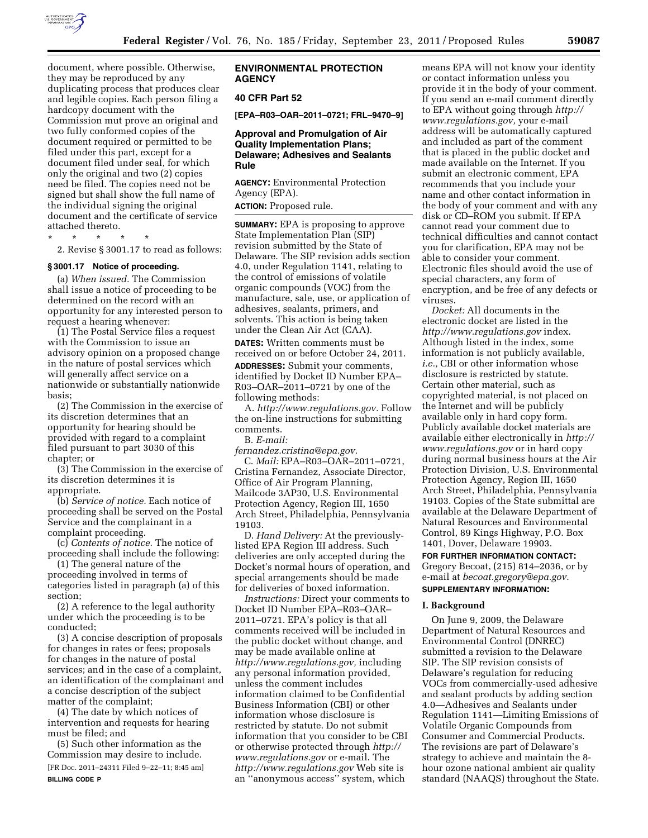

document, where possible. Otherwise, they may be reproduced by any duplicating process that produces clear and legible copies. Each person filing a hardcopy document with the Commission mut prove an original and two fully conformed copies of the document required or permitted to be filed under this part, except for a document filed under seal, for which only the original and two (2) copies need be filed. The copies need not be signed but shall show the full name of the individual signing the original document and the certificate of service attached thereto.

\* \* \* \* \*

2. Revise § 3001.17 to read as follows:

### **§ 3001.17 Notice of proceeding.**

(a) *When issued.* The Commission shall issue a notice of proceeding to be determined on the record with an opportunity for any interested person to request a hearing whenever:

(1) The Postal Service files a request with the Commission to issue an advisory opinion on a proposed change in the nature of postal services which will generally affect service on a nationwide or substantially nationwide basis;

(2) The Commission in the exercise of its discretion determines that an opportunity for hearing should be provided with regard to a complaint filed pursuant to part 3030 of this chapter; or

(3) The Commission in the exercise of its discretion determines it is appropriate.

(b) *Service of notice.* Each notice of proceeding shall be served on the Postal Service and the complainant in a complaint proceeding.

(c) *Contents of notice.* The notice of proceeding shall include the following:

(1) The general nature of the proceeding involved in terms of categories listed in paragraph (a) of this section;

(2) A reference to the legal authority under which the proceeding is to be conducted;

(3) A concise description of proposals for changes in rates or fees; proposals for changes in the nature of postal services; and in the case of a complaint, an identification of the complainant and a concise description of the subject matter of the complaint;

(4) The date by which notices of intervention and requests for hearing must be filed; and

(5) Such other information as the Commission may desire to include.

[FR Doc. 2011–24311 Filed 9–22–11; 8:45 am] **BILLING CODE P** 

# **ENVIRONMENTAL PROTECTION AGENCY**

### **40 CFR Part 52**

**[EPA–R03–OAR–2011–0721; FRL–9470–9]** 

# **Approval and Promulgation of Air Quality Implementation Plans; Delaware; Adhesives and Sealants Rule**

**AGENCY:** Environmental Protection Agency (EPA).

**ACTION:** Proposed rule.

**SUMMARY:** EPA is proposing to approve State Implementation Plan (SIP) revision submitted by the State of Delaware. The SIP revision adds section 4.0, under Regulation 1141, relating to the control of emissions of volatile organic compounds (VOC) from the manufacture, sale, use, or application of adhesives, sealants, primers, and solvents. This action is being taken under the Clean Air Act (CAA).

**DATES:** Written comments must be received on or before October 24, 2011. **ADDRESSES:** Submit your comments, identified by Docket ID Number EPA– R03–OAR–2011–0721 by one of the following methods:

A. *http://www.regulations.gov.* Follow the on-line instructions for submitting comments.

B. *E-mail:* 

*fernandez.cristina@epa.gov.* 

C. *Mail:* EPA–R03–OAR–2011–0721, Cristina Fernandez, Associate Director, Office of Air Program Planning, Mailcode 3AP30, U.S. Environmental Protection Agency, Region III, 1650 Arch Street, Philadelphia, Pennsylvania 19103.

D. *Hand Delivery:* At the previouslylisted EPA Region III address. Such deliveries are only accepted during the Docket's normal hours of operation, and special arrangements should be made for deliveries of boxed information.

*Instructions:* Direct your comments to Docket ID Number EPA–R03–OAR– 2011–0721. EPA's policy is that all comments received will be included in the public docket without change, and may be made available online at *http://www.regulations.gov,* including any personal information provided, unless the comment includes information claimed to be Confidential Business Information (CBI) or other information whose disclosure is restricted by statute. Do not submit information that you consider to be CBI or otherwise protected through *http:// www.regulations.gov* or e-mail. The *http://www.regulations.gov* Web site is an ''anonymous access'' system, which

means EPA will not know your identity or contact information unless you provide it in the body of your comment. If you send an e-mail comment directly to EPA without going through *http:// www.regulations.gov,* your e-mail address will be automatically captured and included as part of the comment that is placed in the public docket and made available on the Internet. If you submit an electronic comment, EPA recommends that you include your name and other contact information in the body of your comment and with any disk or CD–ROM you submit. If EPA cannot read your comment due to technical difficulties and cannot contact you for clarification, EPA may not be able to consider your comment. Electronic files should avoid the use of special characters, any form of encryption, and be free of any defects or viruses.

*Docket:* All documents in the electronic docket are listed in the *http://www.regulations.gov* index. Although listed in the index, some information is not publicly available, *i.e.,* CBI or other information whose disclosure is restricted by statute. Certain other material, such as copyrighted material, is not placed on the Internet and will be publicly available only in hard copy form. Publicly available docket materials are available either electronically in *http:// www.regulations.gov* or in hard copy during normal business hours at the Air Protection Division, U.S. Environmental Protection Agency, Region III, 1650 Arch Street, Philadelphia, Pennsylvania 19103. Copies of the State submittal are available at the Delaware Department of Natural Resources and Environmental Control, 89 Kings Highway, P.O. Box 1401, Dover, Delaware 19903.

### **FOR FURTHER INFORMATION CONTACT:**  Gregory Becoat, (215) 814–2036, or by e-mail at *becoat.gregory@epa.gov.*

#### **SUPPLEMENTARY INFORMATION:**

#### **I. Background**

On June 9, 2009, the Delaware Department of Natural Resources and Environmental Control (DNREC) submitted a revision to the Delaware SIP. The SIP revision consists of Delaware's regulation for reducing VOCs from commercially-used adhesive and sealant products by adding section 4.0—Adhesives and Sealants under Regulation 1141—Limiting Emissions of Volatile Organic Compounds from Consumer and Commercial Products. The revisions are part of Delaware's strategy to achieve and maintain the 8 hour ozone national ambient air quality standard (NAAQS) throughout the State.